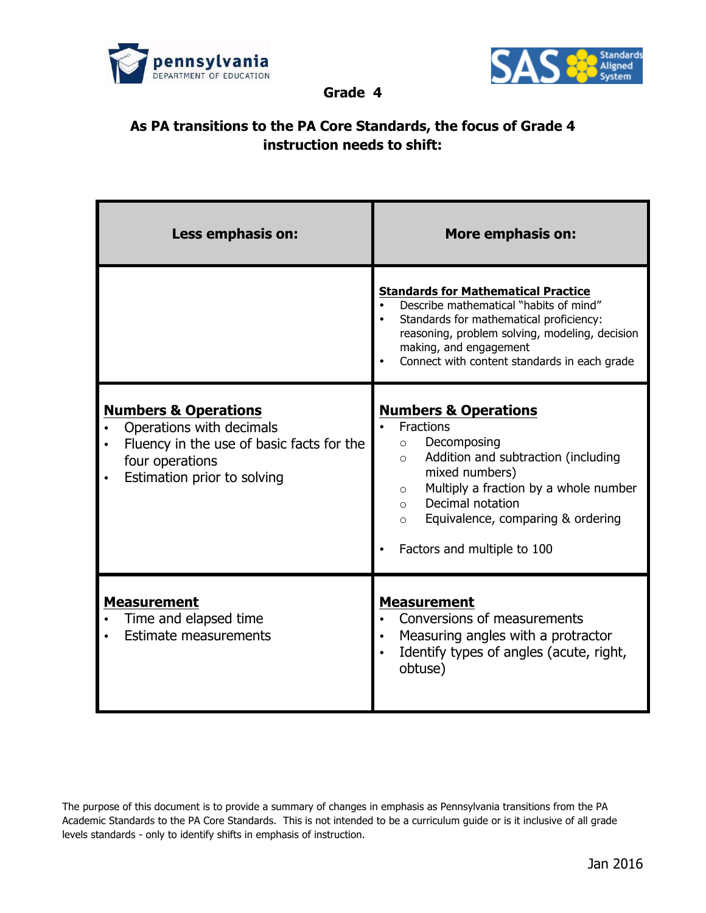



**Grade 4**

## **As PA transitions to the PA Core Standards, the focus of Grade 4 instruction needs to shift:**

| Less emphasis on:                                                                                                                                          | <b>More emphasis on:</b>                                                                                                                                                                                                                                                                                        |
|------------------------------------------------------------------------------------------------------------------------------------------------------------|-----------------------------------------------------------------------------------------------------------------------------------------------------------------------------------------------------------------------------------------------------------------------------------------------------------------|
|                                                                                                                                                            | <b>Standards for Mathematical Practice</b><br>Describe mathematical "habits of mind"<br>Standards for mathematical proficiency:<br>reasoning, problem solving, modeling, decision<br>making, and engagement<br>Connect with content standards in each grade                                                     |
| <b>Numbers &amp; Operations</b><br>Operations with decimals<br>Fluency in the use of basic facts for the<br>four operations<br>Estimation prior to solving | <b>Numbers &amp; Operations</b><br>Fractions<br>Decomposing<br>$\circ$<br>Addition and subtraction (including<br>$\circ$<br>mixed numbers)<br>Multiply a fraction by a whole number<br>$\circ$<br>Decimal notation<br>$\bigcirc$<br>Equivalence, comparing & ordering<br>$\circ$<br>Factors and multiple to 100 |
| <b>Measurement</b><br>Time and elapsed time<br><b>Estimate measurements</b>                                                                                | <b>Measurement</b><br>Conversions of measurements<br>Measuring angles with a protractor<br>Identify types of angles (acute, right,<br>obtuse)                                                                                                                                                                   |

The purpose of this document is to provide a summary of changes in emphasis as Pennsylvania transitions from the PA Academic Standards to the PA Core Standards. This is not intended to be a curriculum guide or is it inclusive of all grade levels standards - only to identify shifts in emphasis of instruction.